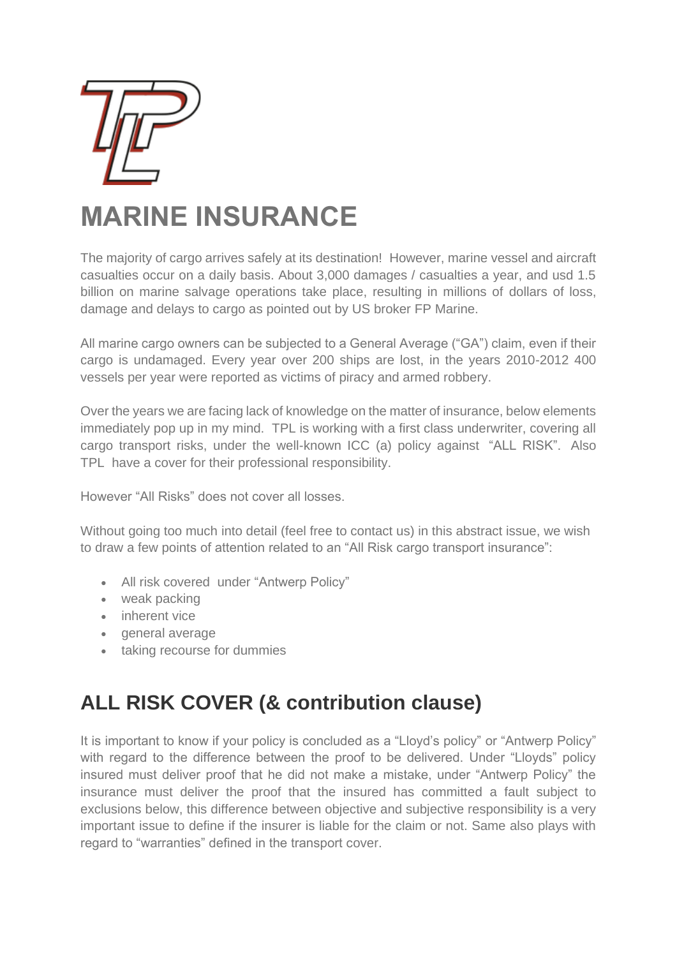

# **MARINE INSURANCE**

The majority of cargo arrives safely at its destination! However, marine vessel and aircraft casualties occur on a daily basis. About 3,000 damages / casualties a year, and usd 1.5 billion on marine salvage operations take place, resulting in millions of dollars of loss, damage and delays to cargo as pointed out by US broker FP Marine.

All marine cargo owners can be subjected to a General Average ("GA") claim, even if their cargo is undamaged. Every year over 200 ships are lost, in the years 2010-2012 400 vessels per year were reported as victims of piracy and armed robbery.

Over the years we are facing lack of knowledge on the matter of insurance, below elements immediately pop up in my mind. TPL is working with a first class underwriter, covering all cargo transport risks, under the well-known ICC (a) policy against "ALL RISK". Also TPL have a cover for their professional responsibility.

However "All Risks" does not cover all losses.

Without going too much into detail (feel free to contact us) in this abstract issue, we wish to draw a few points of attention related to an "All Risk cargo transport insurance":

- All risk covered under "Antwerp Policy"
- weak packing
- inherent vice
- general average
- taking recourse for dummies

## **ALL RISK COVER (& contribution clause)**

It is important to know if your policy is concluded as a "Lloyd's policy" or "Antwerp Policy" with regard to the difference between the proof to be delivered. Under "Lloyds" policy insured must deliver proof that he did not make a mistake, under "Antwerp Policy" the insurance must deliver the proof that the insured has committed a fault subject to exclusions below, this difference between objective and subjective responsibility is a very important issue to define if the insurer is liable for the claim or not. Same also plays with regard to "warranties" defined in the transport cover.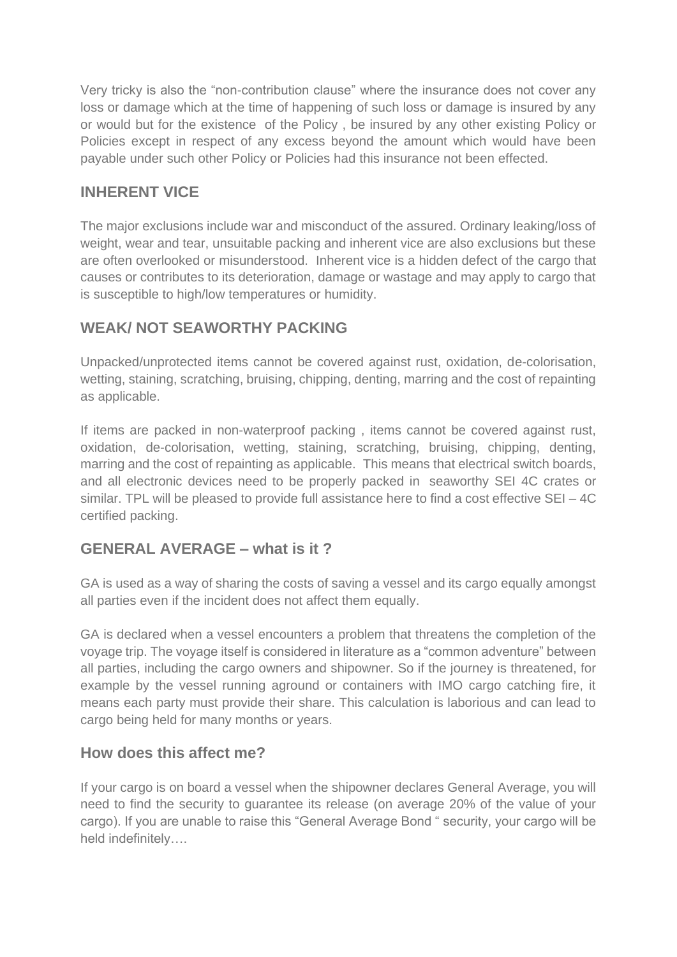Very tricky is also the "non-contribution clause" where the insurance does not cover any loss or damage which at the time of happening of such loss or damage is insured by any or would but for the existence of the Policy , be insured by any other existing Policy or Policies except in respect of any excess beyond the amount which would have been payable under such other Policy or Policies had this insurance not been effected.

#### **INHERENT VICE**

The major exclusions include war and misconduct of the assured. Ordinary leaking/loss of weight, wear and tear, unsuitable packing and inherent vice are also exclusions but these are often overlooked or misunderstood. Inherent vice is a hidden defect of the cargo that causes or contributes to its deterioration, damage or wastage and may apply to cargo that is susceptible to high/low temperatures or humidity.

### **WEAK/ NOT SEAWORTHY PACKING**

Unpacked/unprotected items cannot be covered against rust, oxidation, de-colorisation, wetting, staining, scratching, bruising, chipping, denting, marring and the cost of repainting as applicable.

If items are packed in non-waterproof packing , items cannot be covered against rust, oxidation, de-colorisation, wetting, staining, scratching, bruising, chipping, denting, marring and the cost of repainting as applicable. This means that electrical switch boards, and all electronic devices need to be properly packed in seaworthy SEI 4C crates or similar. TPL will be pleased to provide full assistance here to find a cost effective SEI – 4C certified packing.

#### **GENERAL AVERAGE – what is it ?**

GA is used as a way of sharing the costs of saving a vessel and its cargo equally amongst all parties even if the incident does not affect them equally.

GA is declared when a vessel encounters a problem that threatens the completion of the voyage trip. The voyage itself is considered in literature as a "common adventure" between all parties, including the cargo owners and shipowner. So if the journey is threatened, for example by the vessel running aground or containers with IMO cargo catching fire, it means each party must provide their share. This calculation is laborious and can lead to cargo being held for many months or years.

#### **How does this affect me?**

If your cargo is on board a vessel when the shipowner declares General Average, you will need to find the security to guarantee its release (on average 20% of the value of your cargo). If you are unable to raise this "General Average Bond " security, your cargo will be held indefinitely….